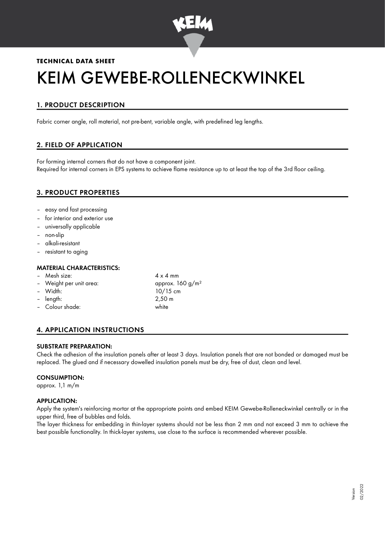

# **TECHNICAL DATA SHEET** KEIM GEWEBE-ROLLENECKWINKEL

# 1. PRODUCT DESCRIPTION

Fabric corner angle, roll material, not pre-bent, variable angle, with predefined leg lengths.

## 2. FIELD OF APPLICATION

For forming internal corners that do not have a component joint. Required for internal corners in EPS systems to achieve flame resistance up to at least the top of the 3rd floor ceiling.

## 3. PRODUCT PROPERTIES

- easy and fast processing
- for interior and exterior use
- universally applicable
- non-slip
- alkali-resistant
- resistant to aging

#### MATERIAL CHARACTERISTICS:

- Mesh size:  $4 \times 4$  mm
- Weight per unit area:  $\mu$  approx. 160 g/m<sup>2</sup>
- 
- length: 2,50 m
- Colour shade: white
- Width: 10/15 cm<br>
length: 2.50 m

## 4. APPLICATION INSTRUCTIONS

#### SUBSTRATE PREPARATION:

Check the adhesion of the insulation panels after at least 3 days. Insulation panels that are not bonded or damaged must be replaced. The glued and if necessary dowelled insulation panels must be dry, free of dust, clean and level.

#### CONSUMPTION:

approx. 1,1 m/m

#### APPLICATION:

Apply the system's reinforcing mortar at the appropriate points and embed KEIM Gewebe-Rolleneckwinkel centrally or in the upper third, free of bubbles and folds.

The layer thickness for embedding in thin-layer systems should not be less than 2 mm and not exceed 3 mm to achieve the best possible functionality. In thick-layer systems, use close to the surface is recommended wherever possible.